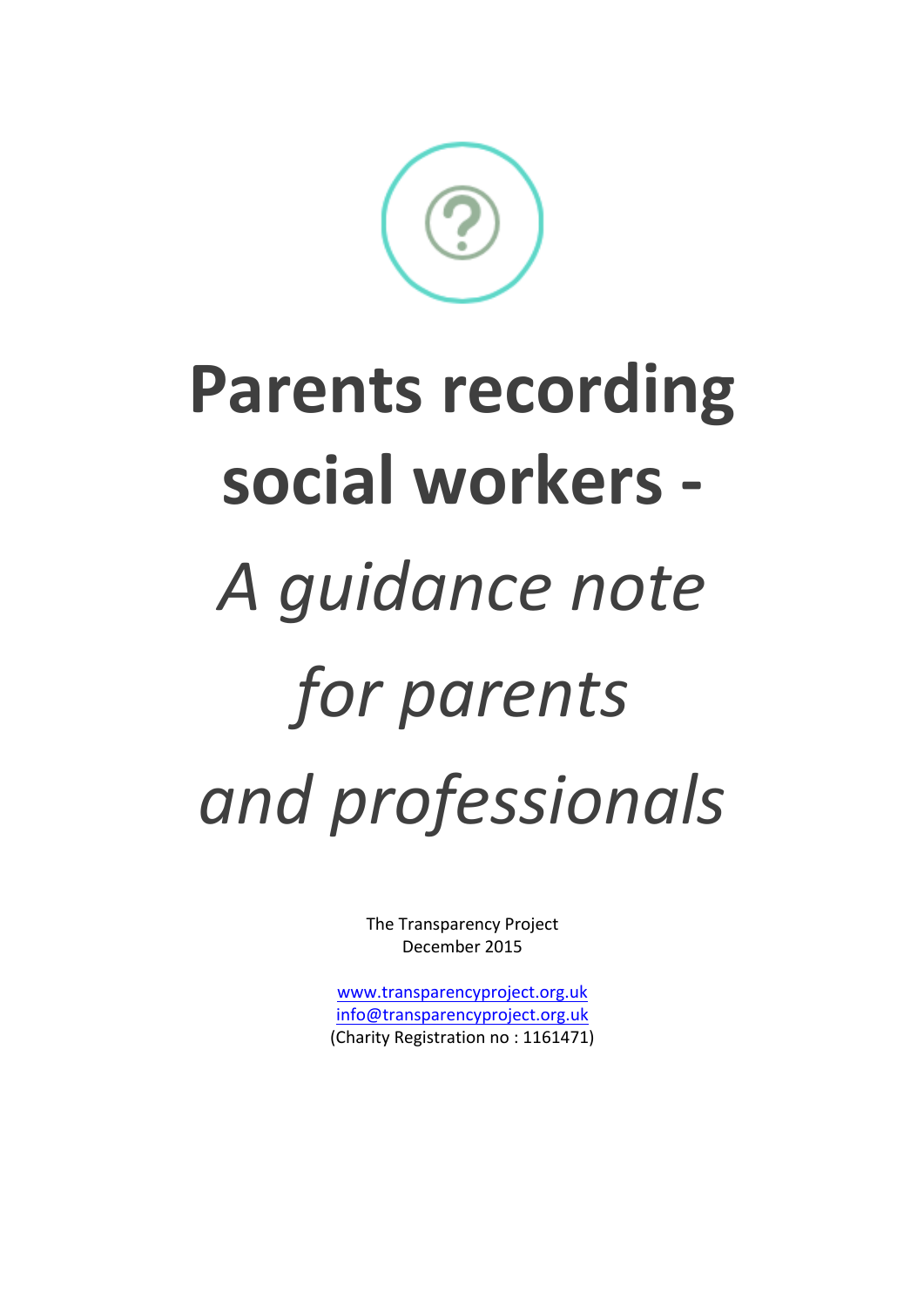The Transparency Project December 2015

www.transparencyproject.org.uk info@transparencyproject.org.uk (Charity Registration no: 1161471)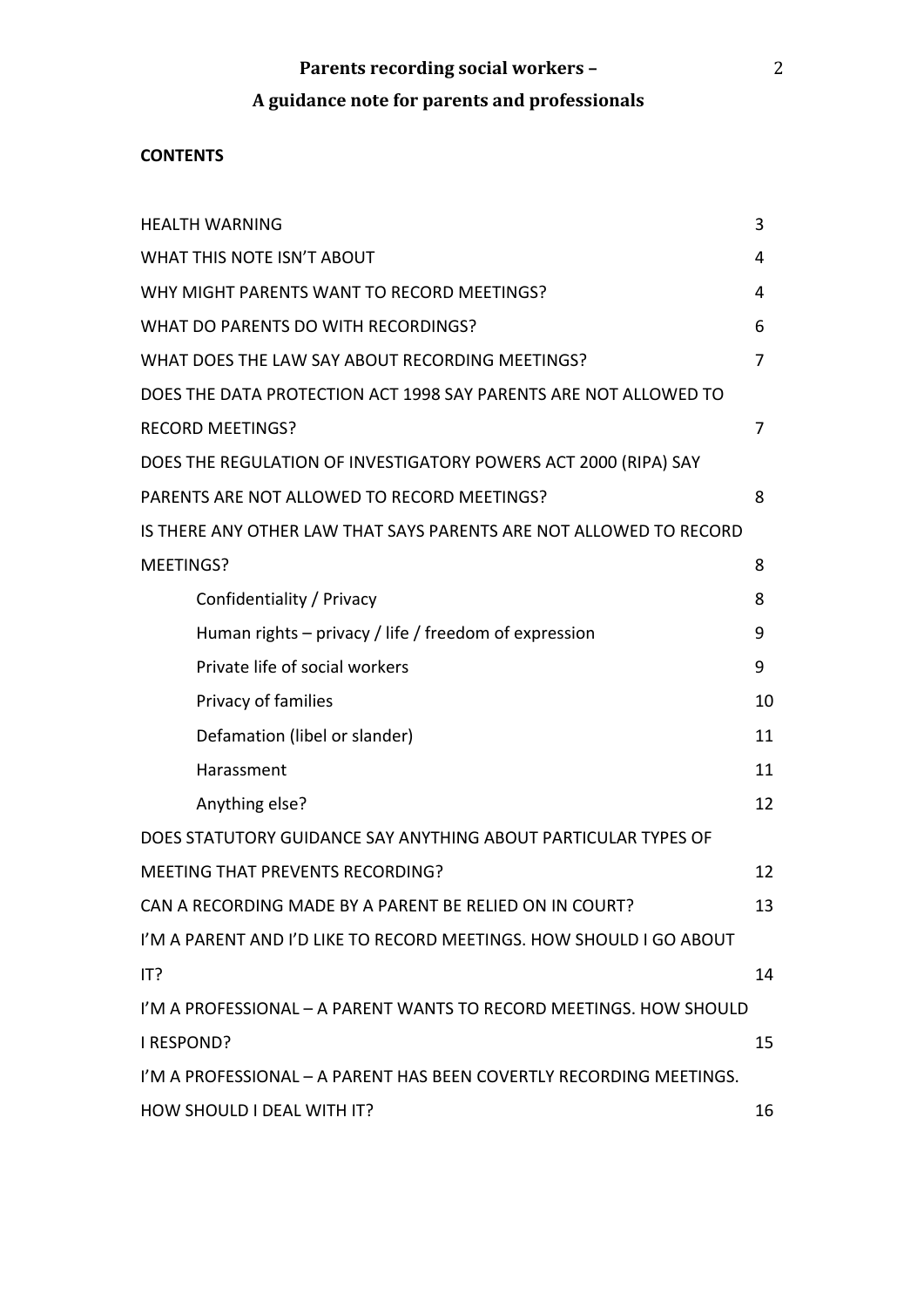# A guidance note for parents and professionals

## **CONTENTS**

| <b>HEALTH WARNING</b>                                               | 3  |
|---------------------------------------------------------------------|----|
| <b>WHAT THIS NOTE ISN'T ABOUT</b>                                   | 4  |
| WHY MIGHT PARENTS WANT TO RECORD MEETINGS?                          | 4  |
| WHAT DO PARENTS DO WITH RECORDINGS?                                 | 6  |
| WHAT DOES THE LAW SAY ABOUT RECORDING MEETINGS?                     | 7  |
| DOES THE DATA PROTECTION ACT 1998 SAY PARENTS ARE NOT ALLOWED TO    |    |
| <b>RECORD MEETINGS?</b>                                             | 7  |
| DOES THE REGULATION OF INVESTIGATORY POWERS ACT 2000 (RIPA) SAY     |    |
| PARENTS ARE NOT ALLOWED TO RECORD MEETINGS?                         | 8  |
| IS THERE ANY OTHER LAW THAT SAYS PARENTS ARE NOT ALLOWED TO RECORD  |    |
| MEETINGS?                                                           | 8  |
| Confidentiality / Privacy                                           | 8  |
| Human rights – privacy / life / freedom of expression               | 9  |
| Private life of social workers                                      | 9  |
| Privacy of families                                                 | 10 |
| Defamation (libel or slander)                                       | 11 |
| Harassment                                                          | 11 |
| Anything else?                                                      | 12 |
| DOES STATUTORY GUIDANCE SAY ANYTHING ABOUT PARTICULAR TYPES OF      |    |
| <b>MEETING THAT PREVENTS RECORDING?</b>                             | 12 |
| CAN A RECORDING MADE BY A PARENT BE RELIED ON IN COURT?             | 13 |
| I'M A PARENT AND I'D LIKE TO RECORD MEETINGS. HOW SHOULD I GO ABOUT |    |
| IT?                                                                 | 14 |
| I'M A PROFESSIONAL - A PARENT WANTS TO RECORD MEETINGS. HOW SHOULD  |    |
| I RESPOND?                                                          | 15 |
| I'M A PROFESSIONAL - A PARENT HAS BEEN COVERTLY RECORDING MEETINGS. |    |
| HOW SHOULD I DEAL WITH IT?                                          | 16 |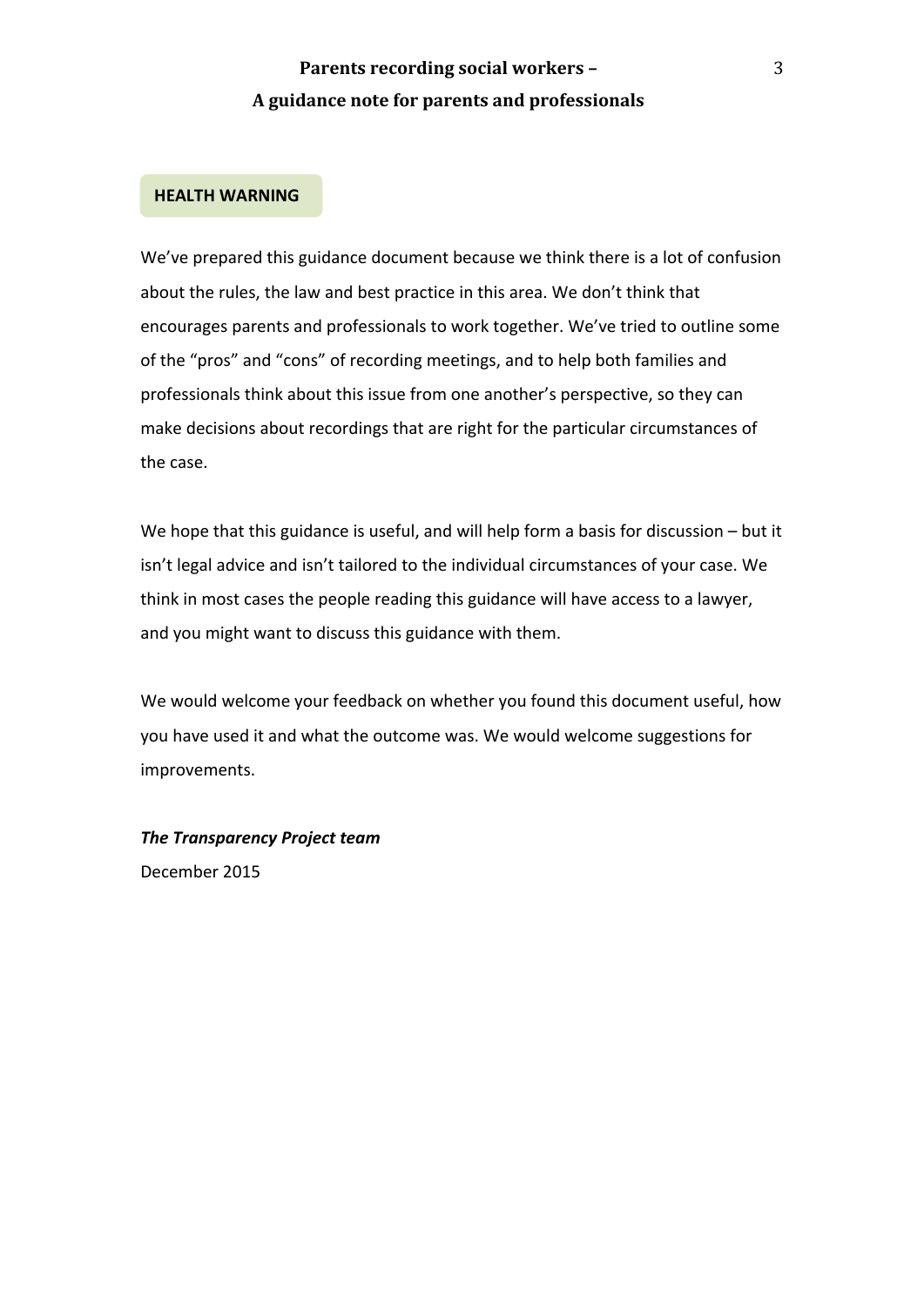#### **HEALTH WARNING**

We've prepared this guidance document because we think there is a lot of confusion about the rules, the law and best practice in this area. We don't think that encourages parents and professionals to work together. We've tried to outline some of the "pros" and "cons" of recording meetings, and to help both families and professionals think about this issue from one another's perspective, so they can make decisions about recordings that are right for the particular circumstances of the case.

We hope that this guidance is useful, and will help form a basis for discussion  $-$  but it isn't legal advice and isn't tailored to the individual circumstances of your case. We think in most cases the people reading this guidance will have access to a lawyer, and you might want to discuss this guidance with them.

We would welcome your feedback on whether you found this document useful, how you have used it and what the outcome was. We would welcome suggestions for improvements. 

**The Transparency Project team** December 2015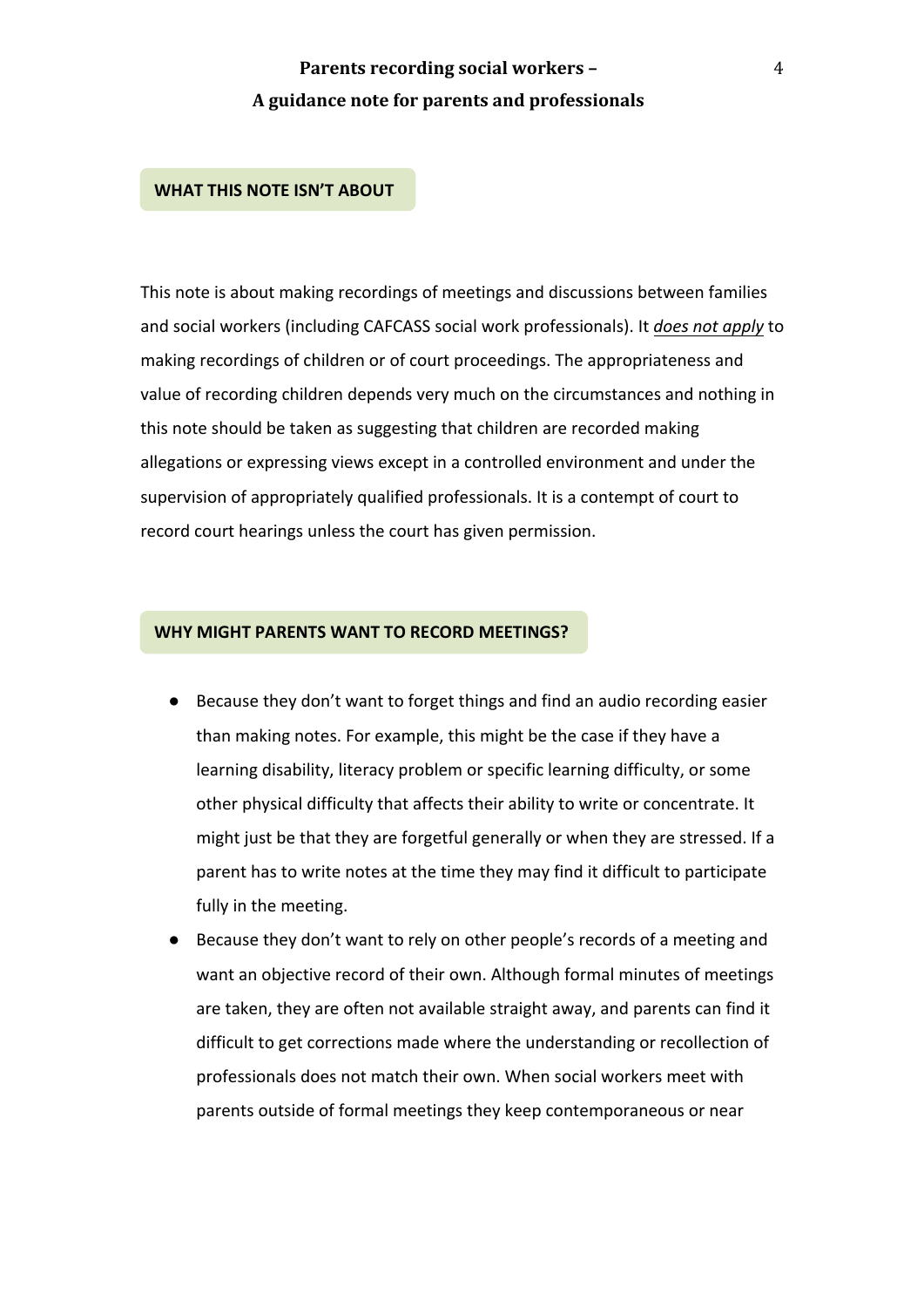#### **WHAT THIS NOTE ISN'T ABOUT**

This note is about making recordings of meetings and discussions between families and social workers (including CAFCASS social work professionals). It *does not apply* to making recordings of children or of court proceedings. The appropriateness and value of recording children depends very much on the circumstances and nothing in this note should be taken as suggesting that children are recorded making allegations or expressing views except in a controlled environment and under the supervision of appropriately qualified professionals. It is a contempt of court to record court hearings unless the court has given permission.

#### **WHY MIGHT PARENTS WANT TO RECORD MEETINGS?**

- Because they don't want to forget things and find an audio recording easier than making notes. For example, this might be the case if they have a learning disability, literacy problem or specific learning difficulty, or some other physical difficulty that affects their ability to write or concentrate. It might just be that they are forgetful generally or when they are stressed. If a parent has to write notes at the time they may find it difficult to participate fully in the meeting.
- Because they don't want to rely on other people's records of a meeting and want an objective record of their own. Although formal minutes of meetings are taken, they are often not available straight away, and parents can find it difficult to get corrections made where the understanding or recollection of professionals does not match their own. When social workers meet with parents outside of formal meetings they keep contemporaneous or near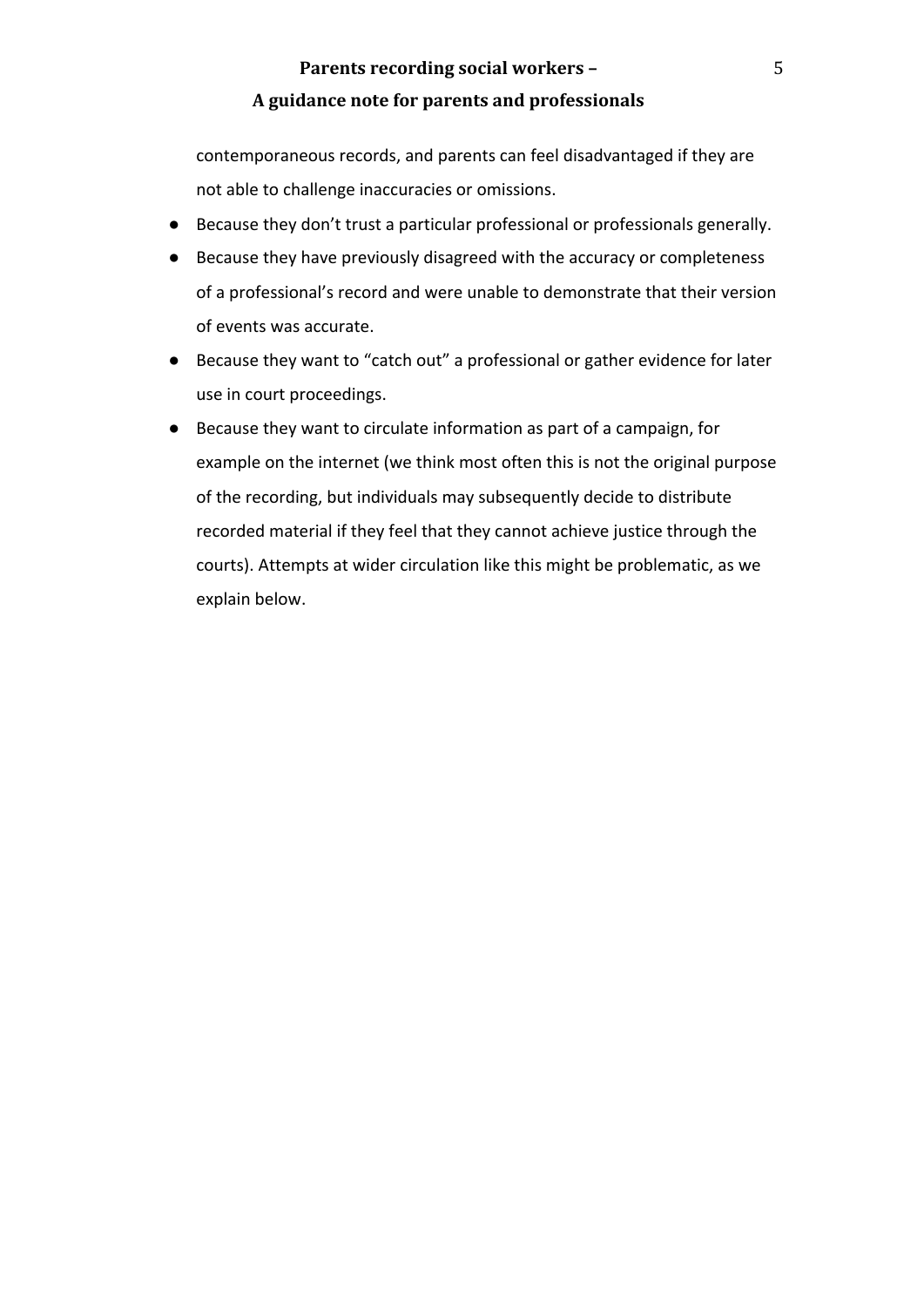contemporaneous records, and parents can feel disadvantaged if they are not able to challenge inaccuracies or omissions.

- Because they don't trust a particular professional or professionals generally.
- Because they have previously disagreed with the accuracy or completeness of a professional's record and were unable to demonstrate that their version of events was accurate.
- Because they want to "catch out" a professional or gather evidence for later use in court proceedings.
- Because they want to circulate information as part of a campaign, for example on the internet (we think most often this is not the original purpose of the recording, but individuals may subsequently decide to distribute recorded material if they feel that they cannot achieve justice through the courts). Attempts at wider circulation like this might be problematic, as we explain below.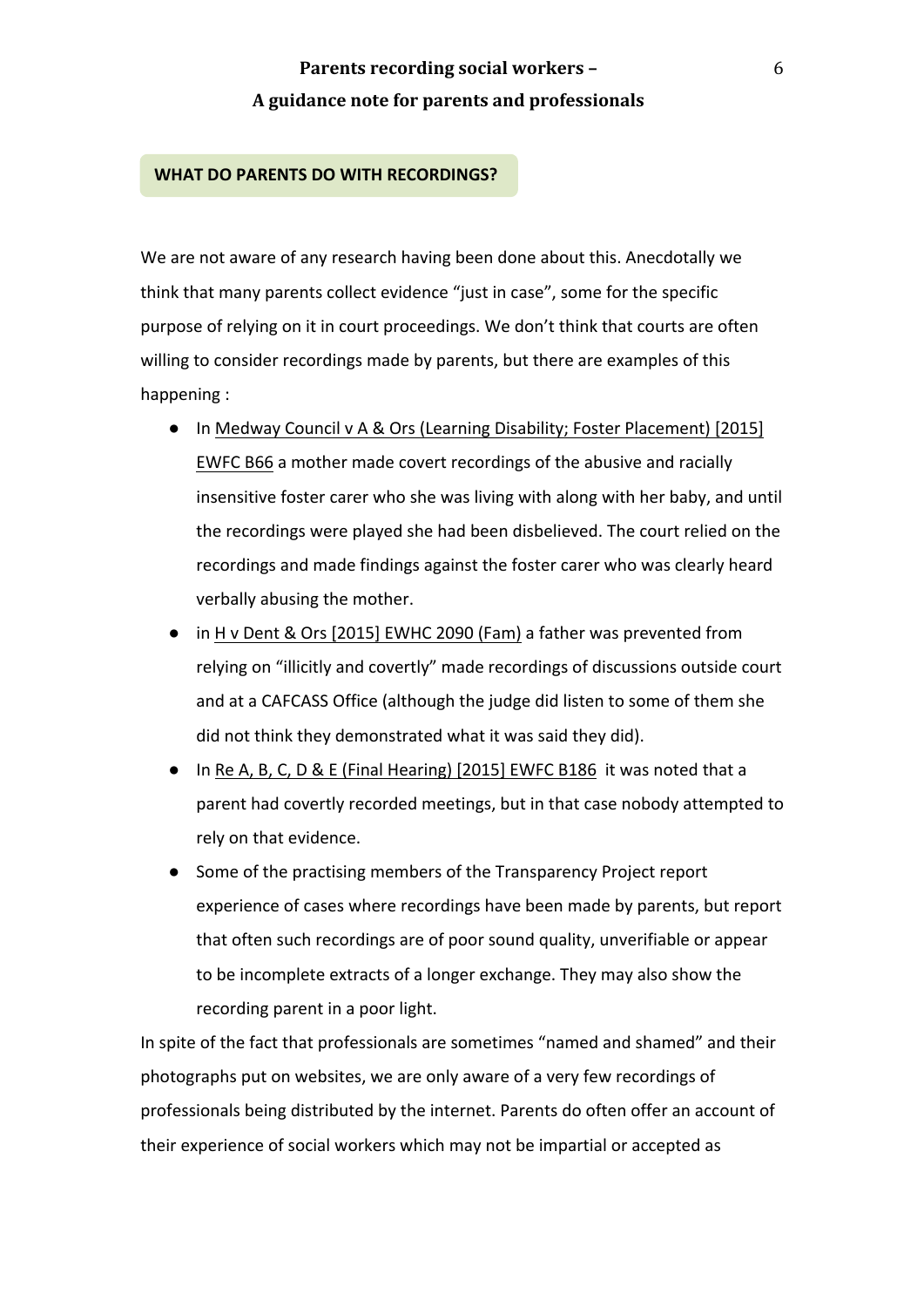#### **WHAT DO PARENTS DO WITH RECORDINGS?**

We are not aware of any research having been done about this. Anecdotally we think that many parents collect evidence "just in case", some for the specific purpose of relying on it in court proceedings. We don't think that courts are often willing to consider recordings made by parents, but there are examples of this happening :

- In Medway Council v A & Ors (Learning Disability; Foster Placement) [2015] EWFC B66 a mother made covert recordings of the abusive and racially insensitive foster carer who she was living with along with her baby, and until the recordings were played she had been disbelieved. The court relied on the recordings and made findings against the foster carer who was clearly heard verbally abusing the mother.
- in H v Dent & Ors [2015] EWHC 2090 (Fam) a father was prevented from relying on "illicitly and covertly" made recordings of discussions outside court and at a CAFCASS Office (although the judge did listen to some of them she did not think they demonstrated what it was said they did).
- In Re A, B, C, D & E (Final Hearing) [2015] EWFC B186 it was noted that a parent had covertly recorded meetings, but in that case nobody attempted to rely on that evidence.
- Some of the practising members of the Transparency Project report experience of cases where recordings have been made by parents, but report that often such recordings are of poor sound quality, unverifiable or appear to be incomplete extracts of a longer exchange. They may also show the recording parent in a poor light.

In spite of the fact that professionals are sometimes "named and shamed" and their photographs put on websites, we are only aware of a very few recordings of professionals being distributed by the internet. Parents do often offer an account of their experience of social workers which may not be impartial or accepted as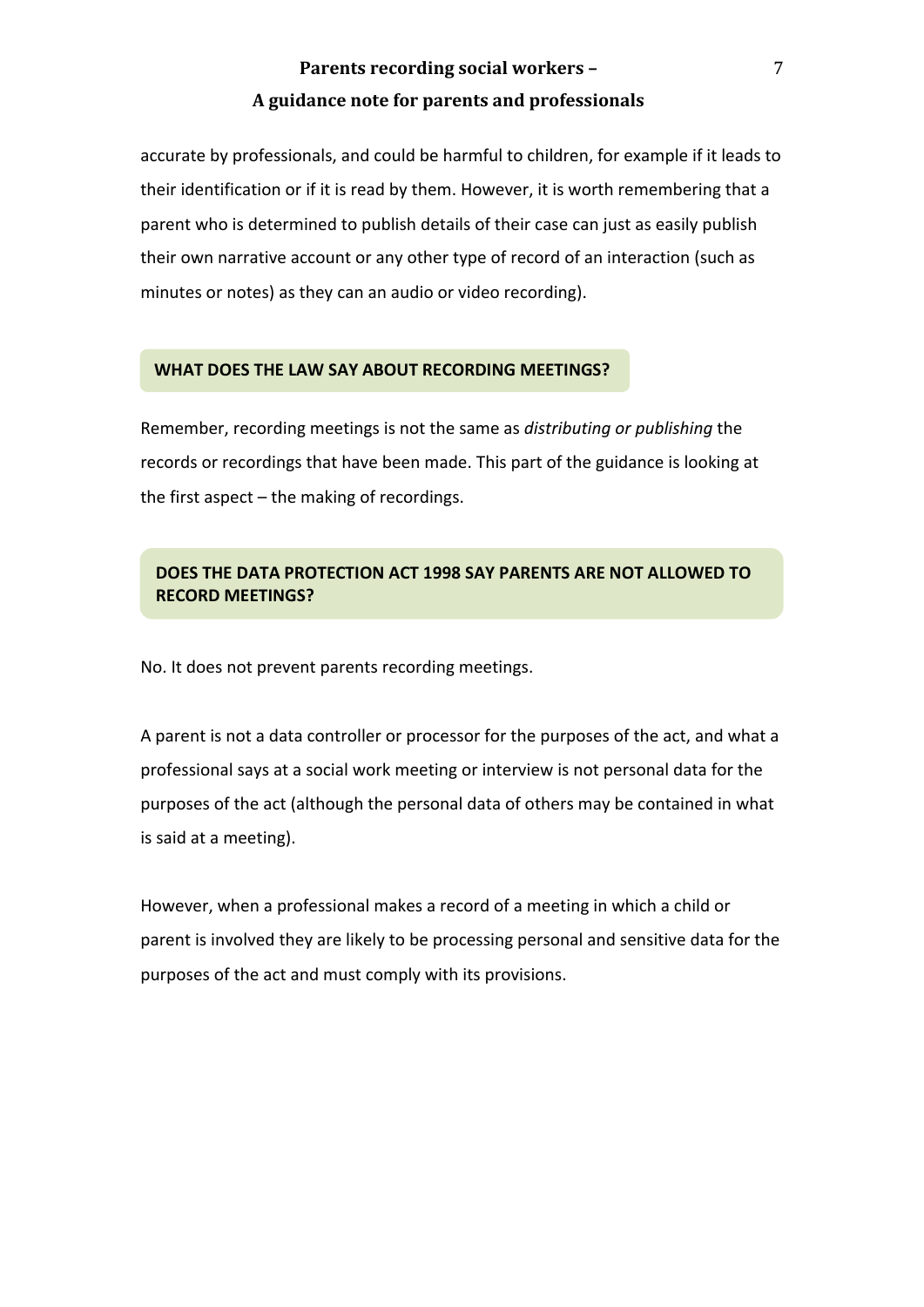accurate by professionals, and could be harmful to children, for example if it leads to their identification or if it is read by them. However, it is worth remembering that a parent who is determined to publish details of their case can just as easily publish their own narrative account or any other type of record of an interaction (such as minutes or notes) as they can an audio or video recording).

#### **WHAT DOES THE LAW SAY ABOUT RECORDING MEETINGS?**

Remember, recording meetings is not the same as *distributing or publishing* the records or recordings that have been made. This part of the guidance is looking at the first aspect  $-$  the making of recordings.

## **DOES THE DATA PROTECTION ACT 1998 SAY PARENTS ARE NOT ALLOWED TO RECORD MEETINGS?**

No. It does not prevent parents recording meetings.

A parent is not a data controller or processor for the purposes of the act, and what a professional says at a social work meeting or interview is not personal data for the purposes of the act (although the personal data of others may be contained in what is said at a meeting).

However, when a professional makes a record of a meeting in which a child or parent is involved they are likely to be processing personal and sensitive data for the purposes of the act and must comply with its provisions.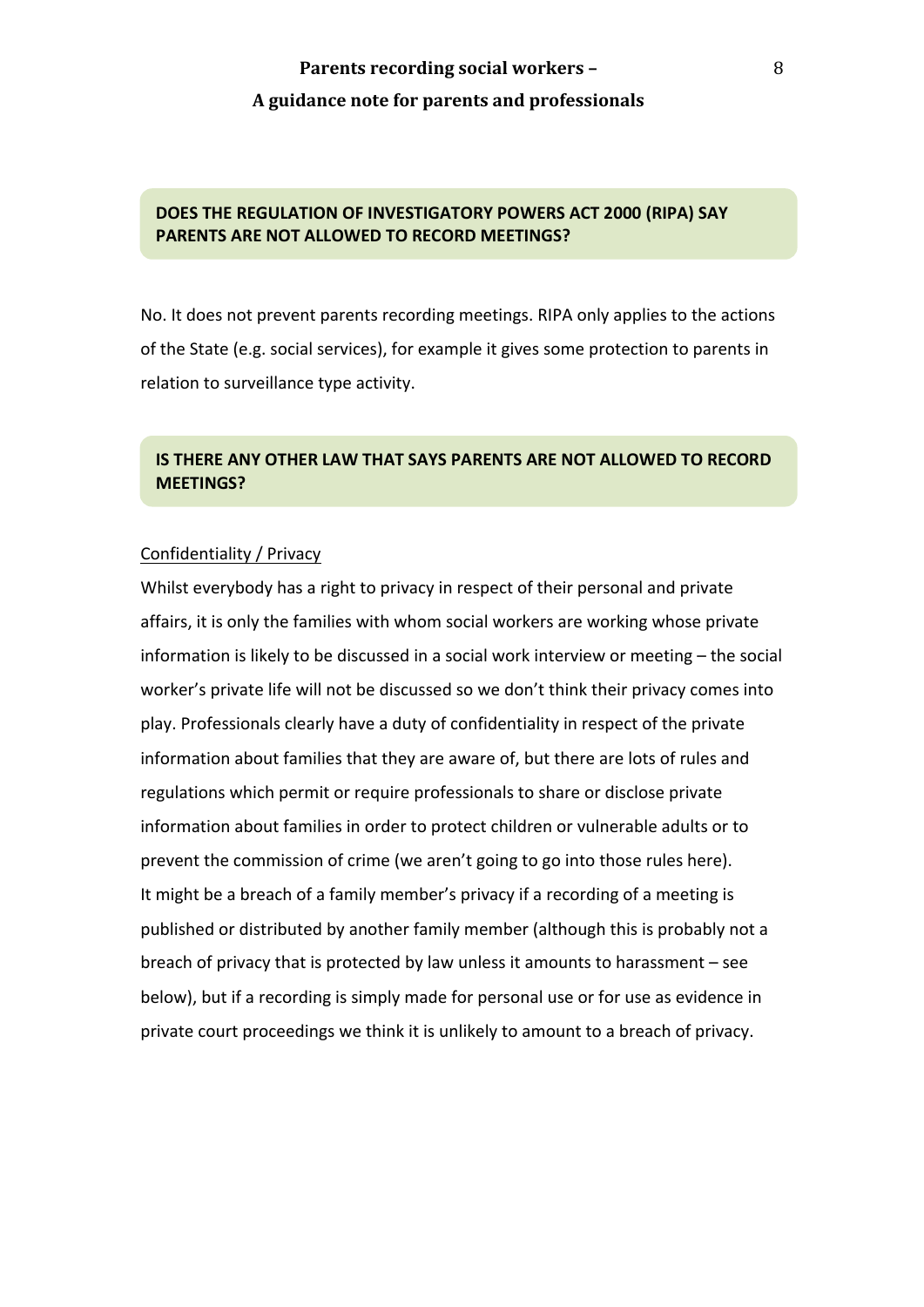## **DOES THE REGULATION OF INVESTIGATORY POWERS ACT 2000 (RIPA) SAY PARENTS ARE NOT ALLOWED TO RECORD MEETINGS?**

No. It does not prevent parents recording meetings. RIPA only applies to the actions of the State (e.g. social services), for example it gives some protection to parents in relation to surveillance type activity.

## **IS THERE ANY OTHER LAW THAT SAYS PARENTS ARE NOT ALLOWED TO RECORD MEETINGS?**

#### Confidentiality / Privacy

Whilst everybody has a right to privacy in respect of their personal and private affairs, it is only the families with whom social workers are working whose private information is likely to be discussed in a social work interview or meeting  $-$  the social worker's private life will not be discussed so we don't think their privacy comes into play. Professionals clearly have a duty of confidentiality in respect of the private information about families that they are aware of, but there are lots of rules and regulations which permit or require professionals to share or disclose private information about families in order to protect children or vulnerable adults or to prevent the commission of crime (we aren't going to go into those rules here). It might be a breach of a family member's privacy if a recording of a meeting is published or distributed by another family member (although this is probably not a breach of privacy that is protected by law unless it amounts to harassment  $-$  see below), but if a recording is simply made for personal use or for use as evidence in private court proceedings we think it is unlikely to amount to a breach of privacy.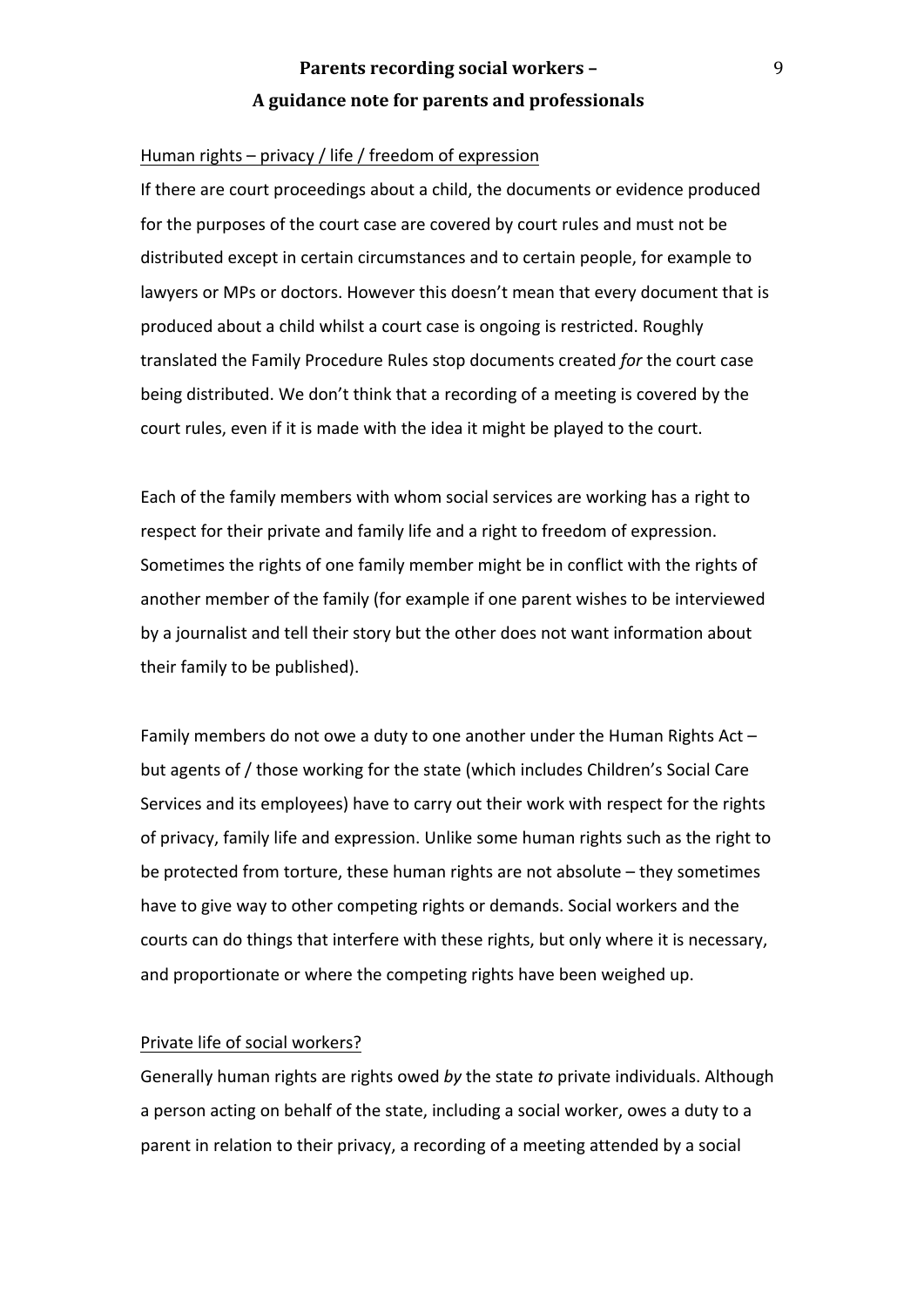#### Human rights  $-$  privacy / life / freedom of expression

If there are court proceedings about a child, the documents or evidence produced for the purposes of the court case are covered by court rules and must not be distributed except in certain circumstances and to certain people, for example to lawyers or MPs or doctors. However this doesn't mean that every document that is produced about a child whilst a court case is ongoing is restricted. Roughly translated the Family Procedure Rules stop documents created for the court case being distributed. We don't think that a recording of a meeting is covered by the court rules, even if it is made with the idea it might be played to the court.

Each of the family members with whom social services are working has a right to respect for their private and family life and a right to freedom of expression. Sometimes the rights of one family member might be in conflict with the rights of another member of the family (for example if one parent wishes to be interviewed by a journalist and tell their story but the other does not want information about their family to be published).

Family members do not owe a duty to one another under the Human Rights Act  $$ but agents of / those working for the state (which includes Children's Social Care Services and its employees) have to carry out their work with respect for the rights of privacy, family life and expression. Unlike some human rights such as the right to be protected from torture, these human rights are not absolute  $-$  they sometimes have to give way to other competing rights or demands. Social workers and the courts can do things that interfere with these rights, but only where it is necessary, and proportionate or where the competing rights have been weighed up.

## Private life of social workers?

Generally human rights are rights owed by the state to private individuals. Although a person acting on behalf of the state, including a social worker, owes a duty to a parent in relation to their privacy, a recording of a meeting attended by a social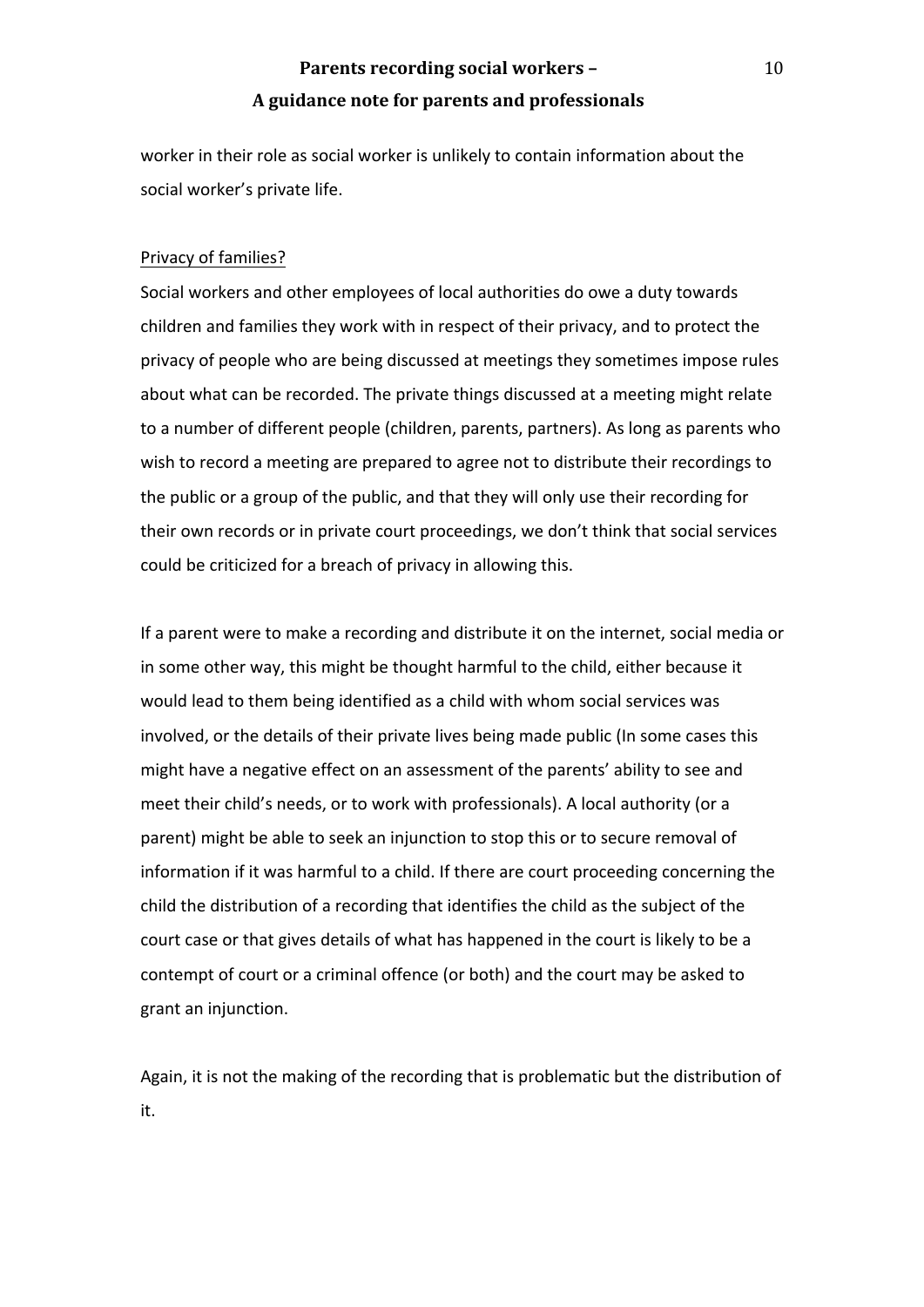worker in their role as social worker is unlikely to contain information about the social worker's private life.

#### Privacy of families?

Social workers and other employees of local authorities do owe a duty towards children and families they work with in respect of their privacy, and to protect the privacy of people who are being discussed at meetings they sometimes impose rules about what can be recorded. The private things discussed at a meeting might relate to a number of different people (children, parents, partners). As long as parents who wish to record a meeting are prepared to agree not to distribute their recordings to the public or a group of the public, and that they will only use their recording for their own records or in private court proceedings, we don't think that social services could be criticized for a breach of privacy in allowing this.

If a parent were to make a recording and distribute it on the internet, social media or in some other way, this might be thought harmful to the child, either because it would lead to them being identified as a child with whom social services was involved, or the details of their private lives being made public (In some cases this might have a negative effect on an assessment of the parents' ability to see and meet their child's needs, or to work with professionals). A local authority (or a parent) might be able to seek an injunction to stop this or to secure removal of information if it was harmful to a child. If there are court proceeding concerning the child the distribution of a recording that identifies the child as the subject of the court case or that gives details of what has happened in the court is likely to be a contempt of court or a criminal offence (or both) and the court may be asked to grant an injunction.

Again, it is not the making of the recording that is problematic but the distribution of it. 

10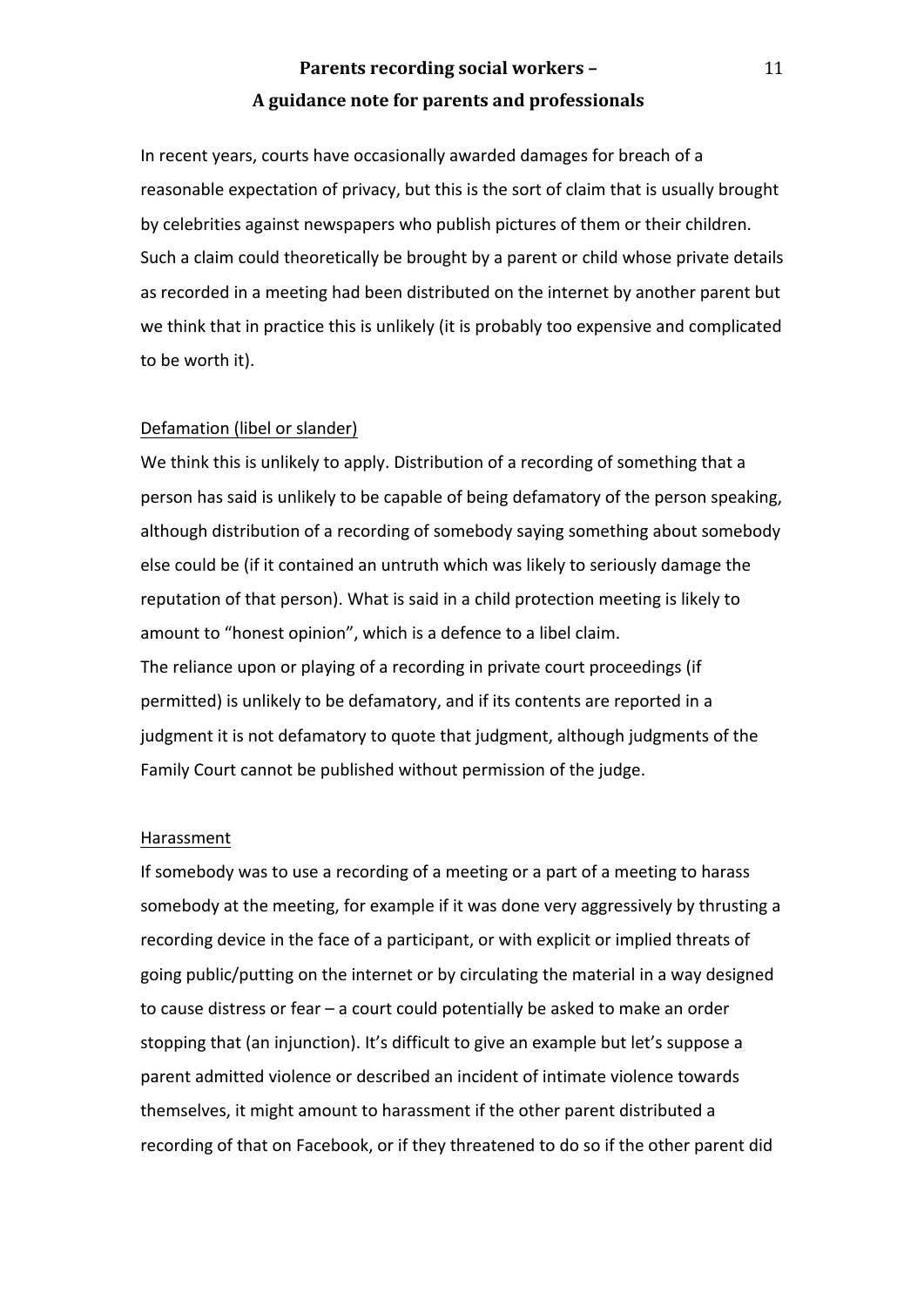In recent years, courts have occasionally awarded damages for breach of a reasonable expectation of privacy, but this is the sort of claim that is usually brought by celebrities against newspapers who publish pictures of them or their children. Such a claim could theoretically be brought by a parent or child whose private details as recorded in a meeting had been distributed on the internet by another parent but we think that in practice this is unlikely (it is probably too expensive and complicated to be worth it).

#### Defamation (libel or slander)

We think this is unlikely to apply. Distribution of a recording of something that a person has said is unlikely to be capable of being defamatory of the person speaking, although distribution of a recording of somebody saying something about somebody else could be (if it contained an untruth which was likely to seriously damage the reputation of that person). What is said in a child protection meeting is likely to amount to "honest opinion", which is a defence to a libel claim. The reliance upon or playing of a recording in private court proceedings (if permitted) is unlikely to be defamatory, and if its contents are reported in a judgment it is not defamatory to quote that judgment, although judgments of the Family Court cannot be published without permission of the judge.

#### Harassment

If somebody was to use a recording of a meeting or a part of a meeting to harass somebody at the meeting, for example if it was done very aggressively by thrusting a recording device in the face of a participant, or with explicit or implied threats of going public/putting on the internet or by circulating the material in a way designed to cause distress or fear  $-$  a court could potentially be asked to make an order stopping that (an injunction). It's difficult to give an example but let's suppose a parent admitted violence or described an incident of intimate violence towards themselves, it might amount to harassment if the other parent distributed a recording of that on Facebook, or if they threatened to do so if the other parent did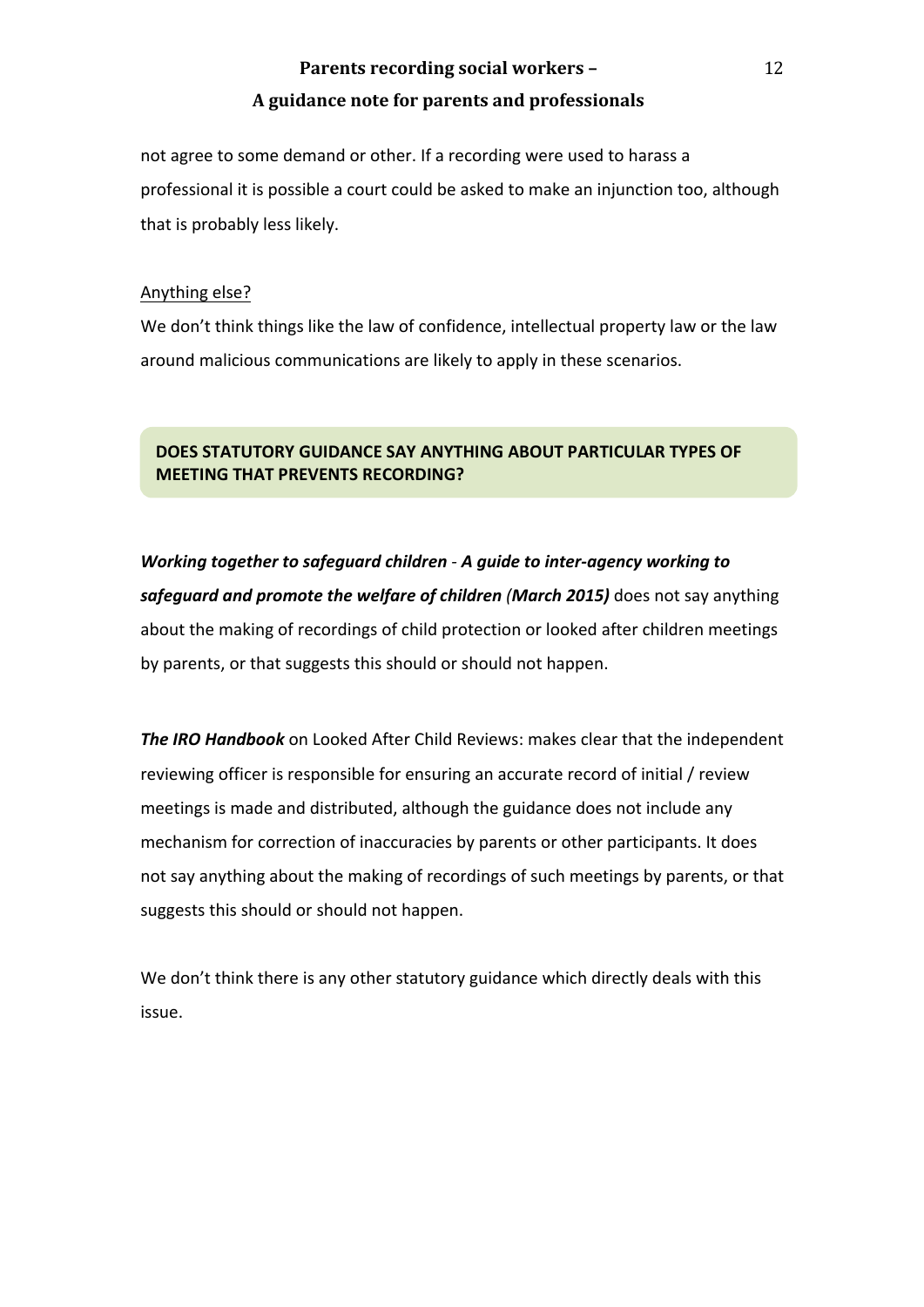not agree to some demand or other. If a recording were used to harass a professional it is possible a court could be asked to make an injunction too, although that is probably less likely.

## Anything else?

We don't think things like the law of confidence, intellectual property law or the law around malicious communications are likely to apply in these scenarios.

## **DOES STATUTORY GUIDANCE SAY ANYTHING ABOUT PARTICULAR TYPES OF MEETING THAT PREVENTS RECORDING?**

*Working together to safeguard children - A guide to inter-agency working to* **safeguard and promote the welfare of children (March 2015)** does not say anything about the making of recordings of child protection or looked after children meetings by parents, or that suggests this should or should not happen.

**The IRO Handbook** on Looked After Child Reviews: makes clear that the independent reviewing officer is responsible for ensuring an accurate record of initial / review meetings is made and distributed, although the guidance does not include any mechanism for correction of inaccuracies by parents or other participants. It does not say anything about the making of recordings of such meetings by parents, or that suggests this should or should not happen.

We don't think there is any other statutory guidance which directly deals with this issue.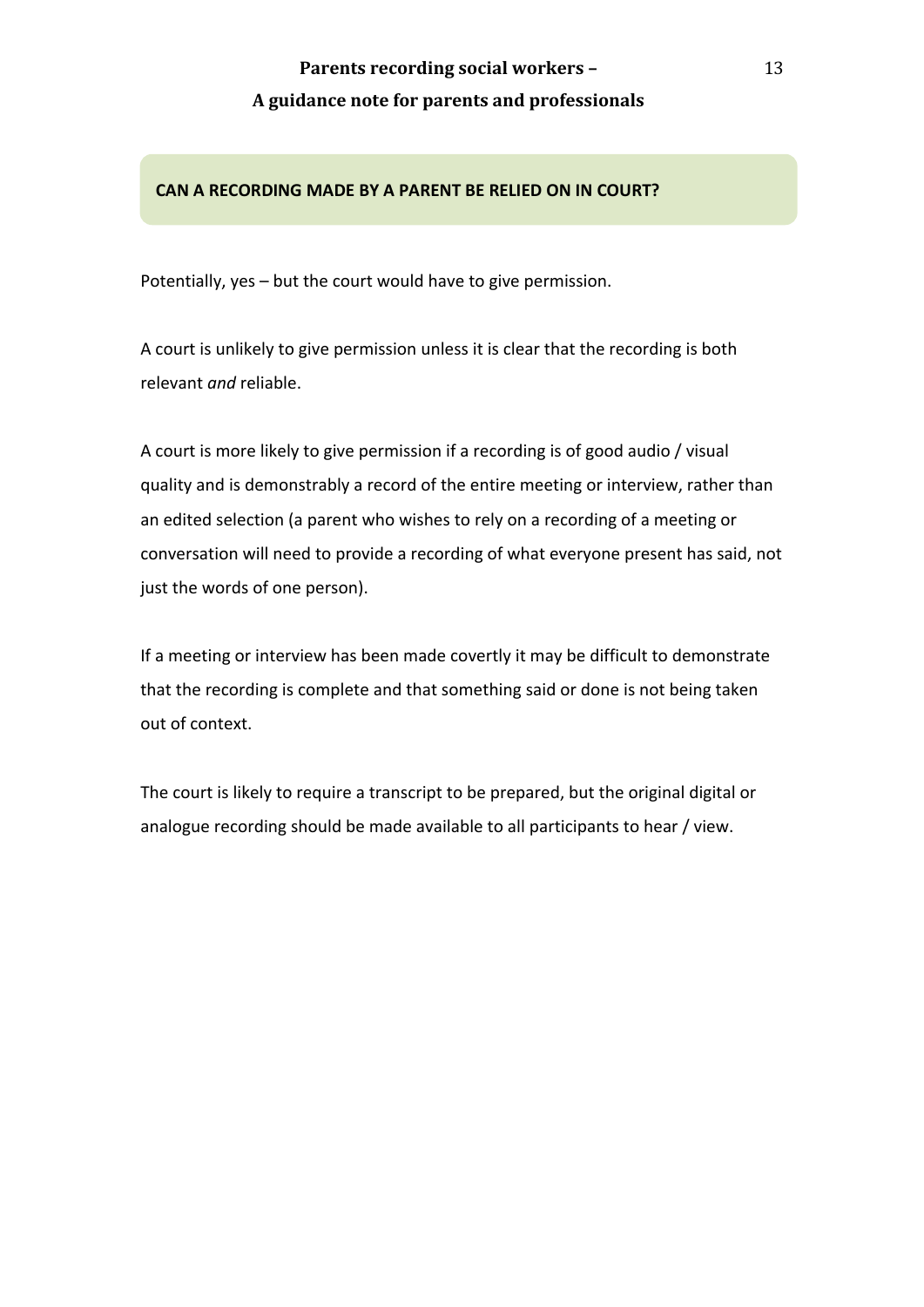## CAN A RECORDING MADE BY A PARENT BE RELIED ON IN COURT?

Potentially,  $yes - but$  the court would have to give permission.

A court is unlikely to give permission unless it is clear that the recording is both relevant *and* reliable.

A court is more likely to give permission if a recording is of good audio / visual quality and is demonstrably a record of the entire meeting or interview, rather than an edited selection (a parent who wishes to rely on a recording of a meeting or conversation will need to provide a recording of what everyone present has said, not just the words of one person).

If a meeting or interview has been made covertly it may be difficult to demonstrate that the recording is complete and that something said or done is not being taken out of context.

The court is likely to require a transcript to be prepared, but the original digital or analogue recording should be made available to all participants to hear / view.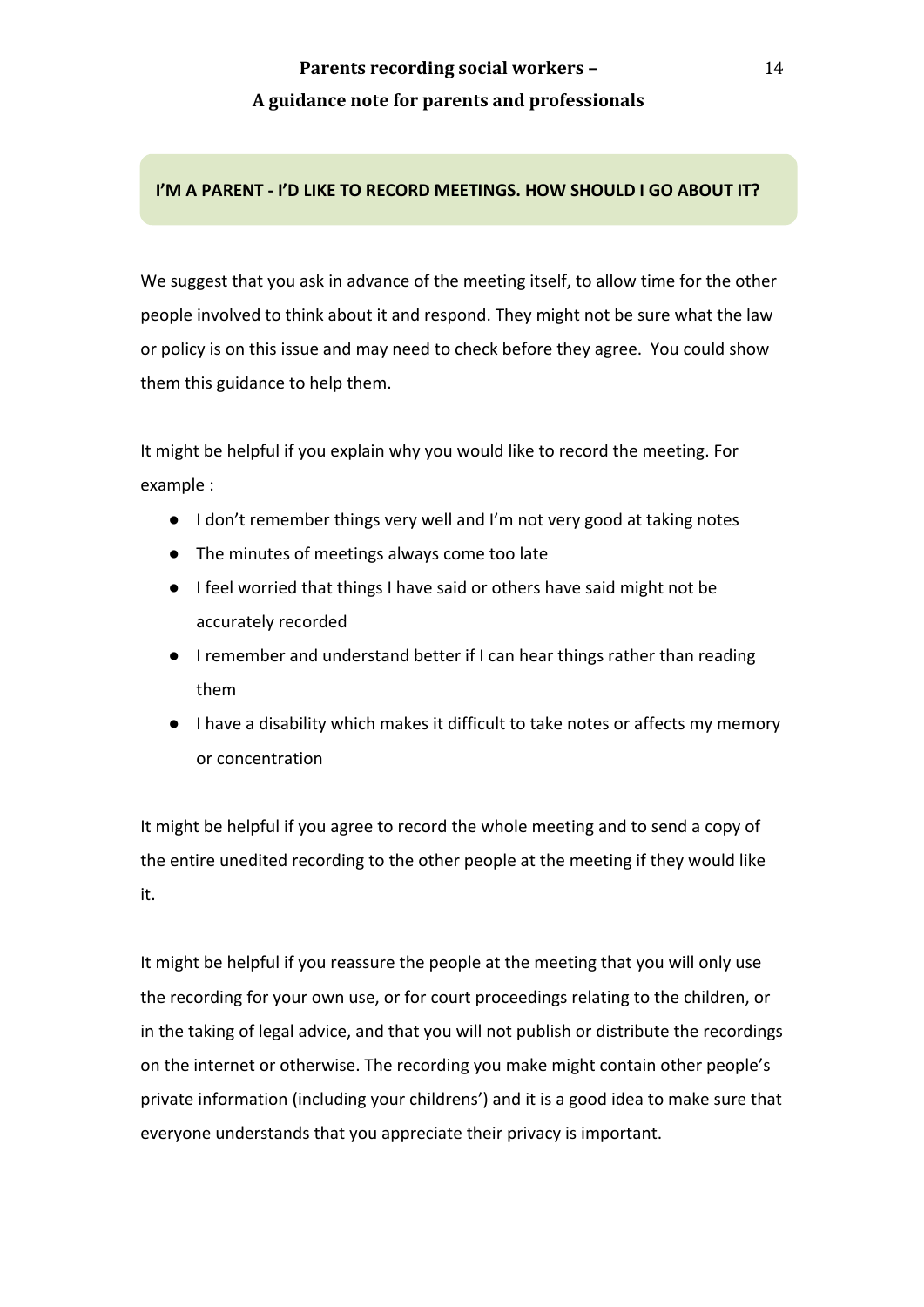## **I'M A PARENT - I'D LIKE TO RECORD MEETINGS. HOW SHOULD I GO ABOUT IT?**

We suggest that you ask in advance of the meeting itself, to allow time for the other people involved to think about it and respond. They might not be sure what the law or policy is on this issue and may need to check before they agree. You could show them this guidance to help them.

It might be helpful if you explain why you would like to record the meeting. For example :

- I don't remember things very well and I'm not very good at taking notes
- The minutes of meetings always come too late
- I feel worried that things I have said or others have said might not be accurately recorded
- I remember and understand better if I can hear things rather than reading them
- I have a disability which makes it difficult to take notes or affects my memory or concentration

It might be helpful if you agree to record the whole meeting and to send a copy of the entire unedited recording to the other people at the meeting if they would like it. 

It might be helpful if you reassure the people at the meeting that you will only use the recording for your own use, or for court proceedings relating to the children, or in the taking of legal advice, and that you will not publish or distribute the recordings on the internet or otherwise. The recording you make might contain other people's private information (including your childrens') and it is a good idea to make sure that everyone understands that you appreciate their privacy is important.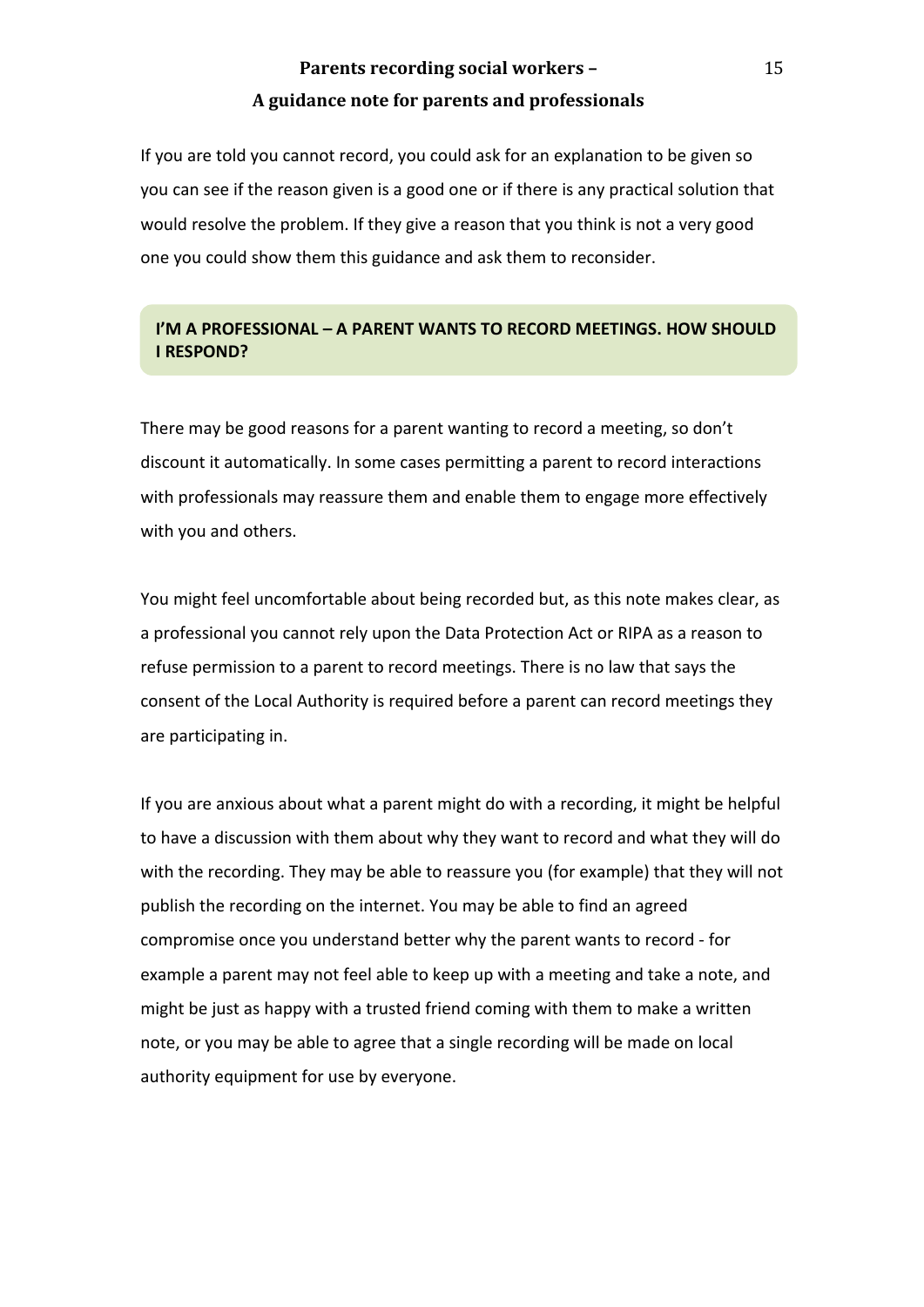If you are told you cannot record, you could ask for an explanation to be given so you can see if the reason given is a good one or if there is any practical solution that would resolve the problem. If they give a reason that you think is not a very good one you could show them this guidance and ask them to reconsider.

## **I'M A PROFESSIONAL - A PARENT WANTS TO RECORD MEETINGS. HOW SHOULD I** RESPOND?

There may be good reasons for a parent wanting to record a meeting, so don't discount it automatically. In some cases permitting a parent to record interactions with professionals may reassure them and enable them to engage more effectively with you and others.

You might feel uncomfortable about being recorded but, as this note makes clear, as a professional you cannot rely upon the Data Protection Act or RIPA as a reason to refuse permission to a parent to record meetings. There is no law that says the consent of the Local Authority is required before a parent can record meetings they are participating in.

If you are anxious about what a parent might do with a recording, it might be helpful to have a discussion with them about why they want to record and what they will do with the recording. They may be able to reassure you (for example) that they will not publish the recording on the internet. You may be able to find an agreed compromise once you understand better why the parent wants to record - for example a parent may not feel able to keep up with a meeting and take a note, and might be just as happy with a trusted friend coming with them to make a written note, or you may be able to agree that a single recording will be made on local authority equipment for use by everyone.